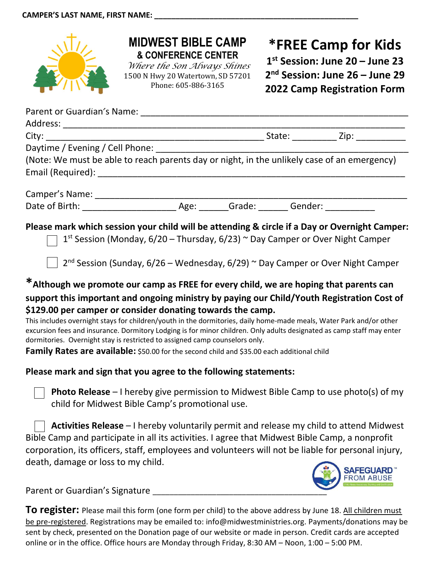

## MIDWEST BIBLE CAMP & CONFERENCE CENTER

Where the Son Always Shines 1500 N Hwy 20 Watertown, SD 57201 Phone: 605-886-3165

## \*FREE Camp for Kids 1 st Session: June 20 – June 23 2 nd Session: June 26 – June 29 2022 Camp Registration Form

| City: the contract of the contract of the contract of the contract of the contract of the contract of the contract of the contract of the contract of the contract of the contract of the contract of the contract of the cont                                                                                                                                                                                                                                                                                                                                                                                                                                                                                                                                                                                                                                                                                                                                                |  |  |
|-------------------------------------------------------------------------------------------------------------------------------------------------------------------------------------------------------------------------------------------------------------------------------------------------------------------------------------------------------------------------------------------------------------------------------------------------------------------------------------------------------------------------------------------------------------------------------------------------------------------------------------------------------------------------------------------------------------------------------------------------------------------------------------------------------------------------------------------------------------------------------------------------------------------------------------------------------------------------------|--|--|
| Daytime / Evening / Cell Phone: _______________                                                                                                                                                                                                                                                                                                                                                                                                                                                                                                                                                                                                                                                                                                                                                                                                                                                                                                                               |  |  |
| (Note: We must be able to reach parents day or night, in the unlikely case of an emergency)                                                                                                                                                                                                                                                                                                                                                                                                                                                                                                                                                                                                                                                                                                                                                                                                                                                                                   |  |  |
|                                                                                                                                                                                                                                                                                                                                                                                                                                                                                                                                                                                                                                                                                                                                                                                                                                                                                                                                                                               |  |  |
|                                                                                                                                                                                                                                                                                                                                                                                                                                                                                                                                                                                                                                                                                                                                                                                                                                                                                                                                                                               |  |  |
|                                                                                                                                                                                                                                                                                                                                                                                                                                                                                                                                                                                                                                                                                                                                                                                                                                                                                                                                                                               |  |  |
| Please mark which session your child will be attending & circle if a Day or Overnight Camper:<br>1 <sup>st</sup> Session (Monday, 6/20 – Thursday, 6/23) $\sim$ Day Camper or Over Night Camper<br>$2^{nd}$ Session (Sunday, 6/26 – Wednesday, 6/29) $\sim$ Day Camper or Over Night Camper<br>*Although we promote our camp as FREE for every child, we are hoping that parents can<br>support this important and ongoing ministry by paying our Child/Youth Registration Cost of<br>\$129.00 per camper or consider donating towards the camp.<br>This includes overnight stays for children/youth in the dormitories, daily home-made meals, Water Park and/or other<br>excursion fees and insurance. Dormitory Lodging is for minor children. Only adults designated as camp staff may enter<br>dormitories. Overnight stay is restricted to assigned camp counselors only.<br>Family Rates are available: \$50.00 for the second child and \$35.00 each additional child |  |  |
| Please mark and sign that you agree to the following statements:                                                                                                                                                                                                                                                                                                                                                                                                                                                                                                                                                                                                                                                                                                                                                                                                                                                                                                              |  |  |
| <b>Photo Release</b> – I hereby give permission to Midwest Bible Camp to use photo(s) of my<br>child for Midwest Bible Camp's promotional use.                                                                                                                                                                                                                                                                                                                                                                                                                                                                                                                                                                                                                                                                                                                                                                                                                                |  |  |
| Activities Release - I hereby voluntarily permit and release my child to attend Midwest<br>Bible Camp and participate in all its activities. I agree that Midwest Bible Camp, a nonprofit<br>corporation, its officers, staff, employees and volunteers will not be liable for personal injury,<br>death, damage or loss to my child.                                                                                                                                                                                                                                                                                                                                                                                                                                                                                                                                                                                                                                         |  |  |



Parent or Guardian's Signature

To register: Please mail this form (one form per child) to the above address by June 18. All children must be pre-registered. Registrations may be emailed to: info@midwestministries.org. Payments/donations may be sent by check, presented on the Donation page of our website or made in person. Credit cards are accepted online or in the office. Office hours are Monday through Friday, 8:30 AM – Noon, 1:00 – 5:00 PM.